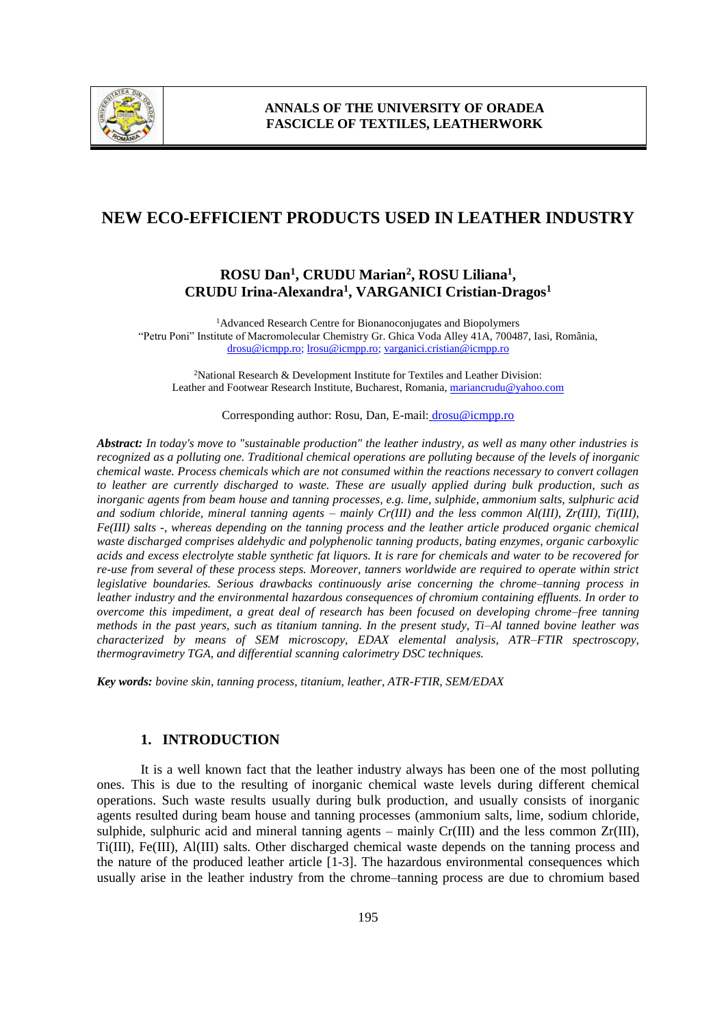

# **NEW ECO-EFFICIENT PRODUCTS USED IN LEATHER INDUSTRY**

# **ROSU Dan<sup>1</sup> , CRUDU Marian<sup>2</sup> , ROSU Liliana<sup>1</sup> , CRUDU Irina-Alexandra<sup>1</sup> , VARGANICI Cristian-Dragos<sup>1</sup>**

<sup>1</sup>Advanced Research Centre for Bionanoconjugates and Biopolymers "Petru Poni" Institute of Macromolecular Chemistry Gr. Ghica Voda Alley 41A, 700487, Iasi, România, drosu@icmpp.ro; lrosu@icmpp.ro; varganici.cristian@icmpp.ro

<sup>2</sup>National Research & Development Institute for Textiles and Leather Division: Leather and Footwear Research Institute, Bucharest, Romania, mariancrudu@yahoo.com

#### Corresponding author: Rosu, Dan, E-mail: [drosu@icmpp.ro](mailto:drosu@icmpp.ro)

*Abstract: In today's move to "sustainable production" the leather industry, as well as many other industries is recognized as a polluting one. Traditional chemical operations are polluting because of the levels of inorganic chemical waste. Process chemicals which are not consumed within the reactions necessary to convert collagen to leather are currently discharged to waste. These are usually applied during bulk production, such as inorganic agents from beam house and tanning processes, e.g. lime, sulphide, ammonium salts, sulphuric acid and sodium chloride, mineral tanning agents – mainly Cr(III) and the less common Al(III), Zr(III), Ti(III), Fe(III) salts -, whereas depending on the tanning process and the leather article produced organic chemical waste discharged comprises aldehydic and polyphenolic tanning products, bating enzymes, organic carboxylic acids and excess electrolyte stable synthetic fat liquors. It is rare for chemicals and water to be recovered for re-use from several of these process steps. Moreover, tanners worldwide are required to operate within strict legislative boundaries. Serious drawbacks continuously arise concerning the chrome–tanning process in leather industry and the environmental hazardous consequences of chromium containing effluents. In order to overcome this impediment, a great deal of research has been focused on developing chrome–free tanning methods in the past years, such as titanium tanning. In the present study, Ti–Al tanned bovine leather was characterized by means of SEM microscopy, EDAX elemental analysis, ATR–FTIR spectroscopy, thermogravimetry TGA, and differential scanning calorimetry DSC techniques.*

*Key words: bovine skin, tanning process, titanium, leather, ATR-FTIR, SEM/EDAX*

## **1. INTRODUCTION**

It is a well known fact that the leather industry always has been one of the most polluting ones. This is due to the resulting of inorganic chemical waste levels during different chemical operations. Such waste results usually during bulk production, and usually consists of inorganic agents resulted during beam house and tanning processes (ammonium salts, lime, sodium chloride, sulphide, sulphuric acid and mineral tanning agents – mainly  $Cr(III)$  and the less common  $Zr(III)$ , Ti(III), Fe(III), Al(III) salts. Other discharged chemical waste depends on the tanning process and the nature of the produced leather article [1-3]. The hazardous environmental consequences which usually arise in the leather industry from the chrome–tanning process are due to chromium based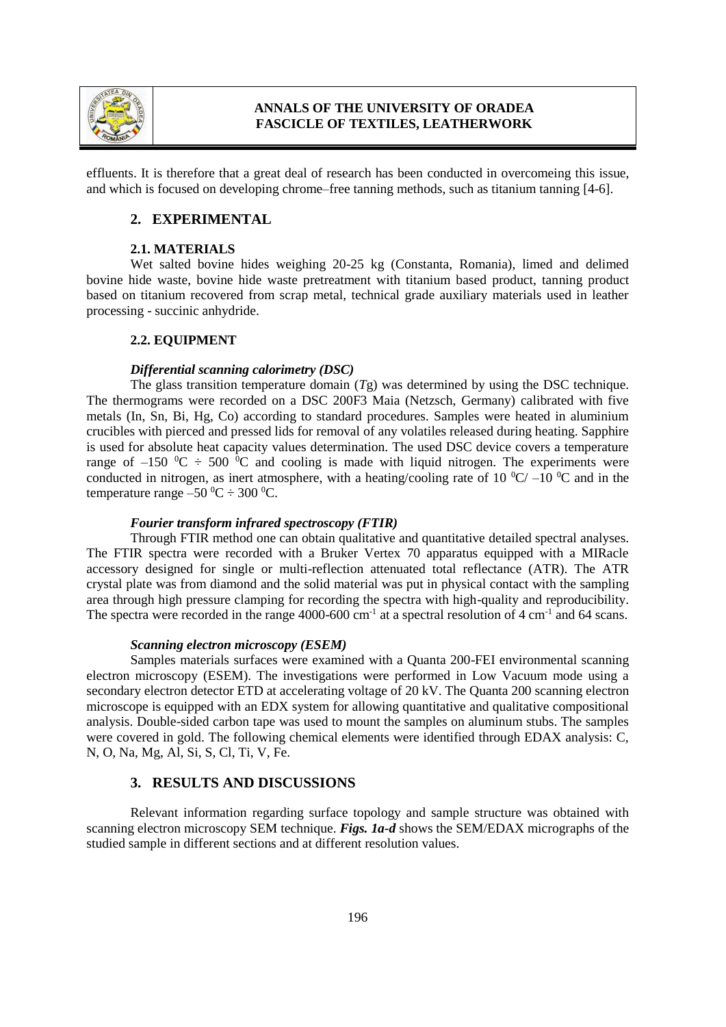

# **ANNALS OF THE UNIVERSITY OF ORADEA FASCICLE OF TEXTILES, LEATHERWORK**

effluents. It is therefore that a great deal of research has been conducted in overcomeing this issue, and which is focused on developing chrome–free tanning methods, such as titanium tanning [4-6].

## **2. EXPERIMENTAL**

#### **2.1. MATERIALS**

Wet salted bovine hides weighing 20-25 kg (Constanta, Romania), limed and delimed bovine hide waste, bovine hide waste pretreatment with titanium based product, tanning product based on titanium recovered from scrap metal, technical grade auxiliary materials used in leather processing - succinic anhydride.

### **2.2. EQUIPMENT**

#### *Differential scanning calorimetry (DSC)*

The glass transition temperature domain (*T*g) was determined by using the DSC technique. The thermograms were recorded on a DSC 200F3 Maia (Netzsch, Germany) calibrated with five metals (In, Sn, Bi, Hg, Co) according to standard procedures. Samples were heated in aluminium crucibles with pierced and pressed lids for removal of any volatiles released during heating. Sapphire is used for absolute heat capacity values determination. The used DSC device covers a temperature range of –150  $\mathrm{^0C}$  ÷ 500  $\mathrm{^0C}$  and cooling is made with liquid nitrogen. The experiments were conducted in nitrogen, as inert atmosphere, with a heating/cooling rate of 10  $^{\circ}$ C/ –10  $^{\circ}$ C and in the temperature range  $-50\,^0C \div 300\,^0C$ .

#### *Fourier transform infrared spectroscopy (FTIR)*

Through FTIR method one can obtain qualitative and quantitative detailed spectral analyses. The FTIR spectra were recorded with a Bruker Vertex 70 apparatus equipped with a MIRacle accessory designed for single or multi-reflection attenuated total reflectance (ATR). The ATR crystal plate was from diamond and the solid material was put in physical contact with the sampling area through high pressure clamping for recording the spectra with high-quality and reproducibility. The spectra were recorded in the range  $4000$ -600 cm<sup>-1</sup> at a spectral resolution of  $4 \text{ cm}^{-1}$  and  $64 \text{ scans}$ .

#### *Scanning electron microscopy (ESEM)*

Samples materials surfaces were examined with a Quanta 200-FEI environmental scanning electron microscopy (ESEM). The investigations were performed in Low Vacuum mode using a secondary electron detector ETD at accelerating voltage of 20 kV. The Quanta 200 scanning electron microscope is equipped with an EDX system for allowing quantitative and qualitative compositional analysis. Double-sided carbon tape was used to mount the samples on aluminum stubs. The samples were covered in gold. The following chemical elements were identified through EDAX analysis: C, N, O, Na, Mg, Al, Si, S, Cl, Ti, V, Fe.

## **3. RESULTS AND DISCUSSIONS**

Relevant information regarding surface topology and sample structure was obtained with scanning electron microscopy SEM technique. *Figs. 1a-d* shows the SEM/EDAX micrographs of the studied sample in different sections and at different resolution values.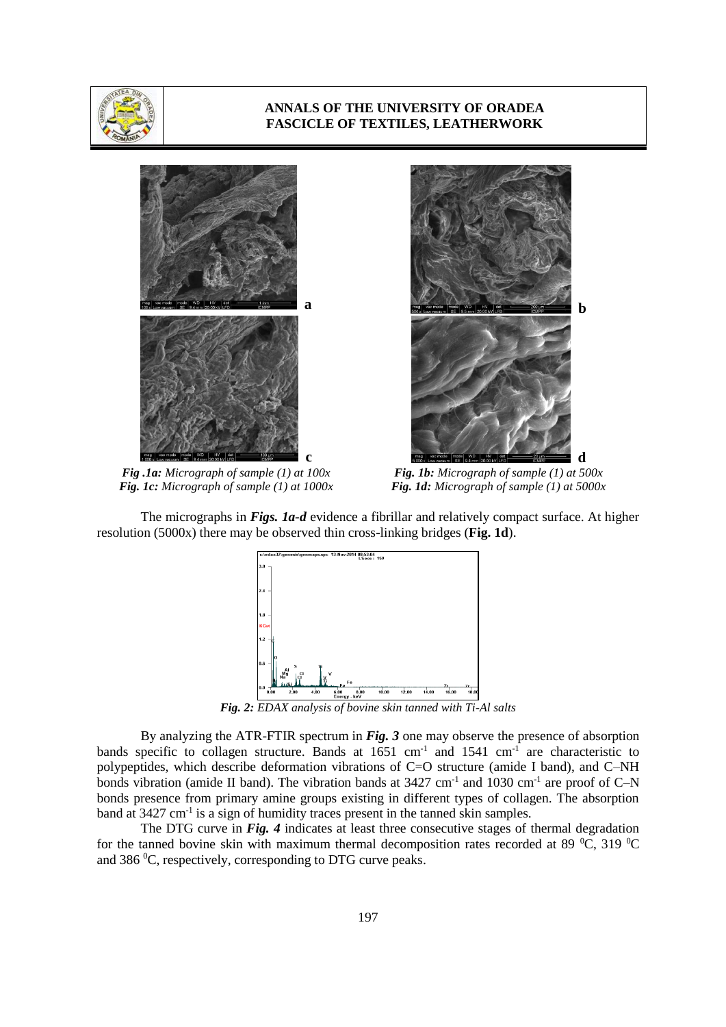

### **ANNALS OF THE UNIVERSITY OF ORADEA FASCICLE OF TEXTILES, LEATHERWORK**



*Fig .1a: Micrograph of sample (1) at 100x Fig. 1c: Micrograph of sample (1) at 1000x*



*Fig. 1b: Micrograph of sample (1) at 500x Fig. 1d: Micrograph of sample (1) at 5000x*

The micrographs in *Figs. 1a-d* evidence a fibrillar and relatively compact surface. At higher resolution (5000x) there may be observed thin cross-linking bridges (**Fig. 1d**).



*Fig. 2: EDAX analysis of bovine skin tanned with Ti-Al salts*

By analyzing the ATR-FTIR spectrum in *Fig. 3* one may observe the presence of absorption bands specific to collagen structure. Bands at  $1651 \text{ cm}^{-1}$  and  $1541 \text{ cm}^{-1}$  are characteristic to polypeptides, which describe deformation vibrations of C=O structure (amide I band), and C–NH bonds vibration (amide II band). The vibration bands at  $3427 \text{ cm}^{-1}$  and  $1030 \text{ cm}^{-1}$  are proof of C-N bonds presence from primary amine groups existing in different types of collagen. The absorption band at 3427 cm<sup>-1</sup> is a sign of humidity traces present in the tanned skin samples.

The DTG curve in *Fig. 4* indicates at least three consecutive stages of thermal degradation for the tanned bovine skin with maximum thermal decomposition rates recorded at 89  $^{\circ}$ C, 319  $^{\circ}$ C and 386 $\mathrm{^0C}$ , respectively, corresponding to DTG curve peaks.